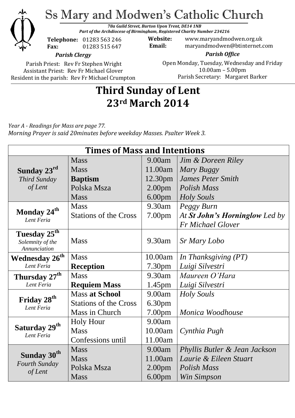

Ss Mary and Modwen's Catholic Church

*78a Guild Street, Burton Upon Trent, DE14 1NB Part of the Archdiocese of Birmingham, Registered Charity Number 234216*

**Telephone:** 01283 563 246 **Fax:** 01283 515 647

**Website:** www.maryandmodwen.org.uk **Email:** maryandmodwen@btinternet.com

*Parish Clergy*

Parish Priest: Rev Fr Stephen Wright Assistant Priest: Rev Fr Michael Glover Resident in the parish: Rev Fr Michael Crumpton

*Parish Office* Open Monday, Tuesday, Wednesday and Friday 10.00am – 5.00pm Parish Secretary:Margaret Barker

# **Third Sunday of Lent 23rd March 2014**

*Year A - Readings for Mass are page 77. Morning Prayer is said 20minutes before weekday Masses. Psalter Week 3.*

| <b>Times of Mass and Intentions</b>                 |                              |                    |                                |
|-----------------------------------------------------|------------------------------|--------------------|--------------------------------|
|                                                     | <b>Mass</b>                  | 9.00am             | Jim & Doreen Riley             |
| Sunday 23rd                                         | <b>Mass</b>                  | 11.00am            | Mary Buggy                     |
| Third Sunday                                        | <b>Baptism</b>               | 12.30pm            | <b>James Peter Smith</b>       |
| of Lent                                             | Polska Msza                  | 2.00 <sub>pm</sub> | Polish Mass                    |
|                                                     | <b>Mass</b>                  | 6.00 <sub>pm</sub> | <b>Holy Souls</b>              |
| Monday 24 <sup>th</sup><br>Lent Feria               | <b>Mass</b>                  | $9.30$ am          | Peggy Burn                     |
|                                                     | <b>Stations of the Cross</b> | 7.00 <sub>pm</sub> | At St John's Horninglow Led by |
|                                                     |                              |                    | <b>Fr Michael Glover</b>       |
| Tuesday 25 <sup>th</sup><br>Solemnity of the        | <b>Mass</b>                  | 9.30am             | Sr Mary Lobo                   |
| Annunciation                                        |                              |                    |                                |
| <b>Wednesday 26<sup>th</sup></b>                    | <b>Mass</b>                  | 10.00am            | In Thanksgiving (PT)           |
| Lent Feria                                          | <b>Reception</b>             | 7.30 <sub>pm</sub> | Luigi Silvestri                |
| Thursday 27 <sup>th</sup>                           | <b>Mass</b>                  | 9.30am             | Maureen O'Hara                 |
| Lent Feria                                          | <b>Requiem Mass</b>          | 1.45 <sub>pm</sub> | Luigi Silvestri                |
| Friday 28 <sup>th</sup><br>Lent Feria               | <b>Mass at School</b>        | 9.00am             | Holy Souls                     |
|                                                     | <b>Stations of the Cross</b> | 6.30pm             |                                |
|                                                     | Mass in Church               | 7.00 <sub>pm</sub> | Monica Woodhouse               |
| Saturday 29 <sup>th</sup><br>Lent Feria             | <b>Holy Hour</b>             | 9.00am             |                                |
|                                                     | <b>Mass</b>                  | 10.00am            | Cynthia Pugh                   |
|                                                     | Confessions until            | 11.00am            |                                |
| Sunday 30 <sup>th</sup><br>Fourth Sunday<br>of Lent | <b>Mass</b>                  | 9.00am             | Phyllis Butler & Jean Jackson  |
|                                                     | <b>Mass</b>                  | 11.00am            | Laurie & Eileen Stuart         |
|                                                     | Polska Msza                  | 2.00 <sub>pm</sub> | Polish Mass                    |
|                                                     | <b>Mass</b>                  | 6.00 <sub>pm</sub> | Win Simpson                    |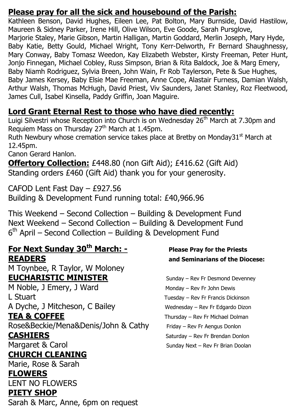### **Please pray for all the sick and housebound of the Parish:**

Kathleen Benson, David Hughes, Eileen Lee, Pat Bolton, Mary Burnside, David Hastilow, Maureen & Sidney Parker, Irene Hill, Olive Wilson, Eve Goode, Sarah Pursglove, Marjorie Staley, Marie Gibson, Martin Halligan, Martin Goddard, Merlin Joseph, Mary Hyde, Baby Katie, Betty Gould, Michael Wright, Tony Kerr-Delworth, Fr Bernard Shaughnessy, Mary Conway, Baby Tomasz Weedon, Kay Elizabeth Webster, Kirsty Freeman, Peter Hunt, Jonjo Finnegan, Michael Cobley, Russ Simpson, Brian & Rita Baldock, Joe & Marg Emery, Baby Niamh Rodriguez, Sylvia Breen, John Wain, Fr Rob Taylerson, Pete & Sue Hughes, Baby James Kersey, Baby Elsie Mae Freeman, Anne Cope, Alastair Furness, Damian Walsh, Arthur Walsh, Thomas McHugh, David Priest, Viv Saunders, Janet Stanley, Roz Fleetwood, James Cull, Isabel Kinsella, Paddy Griffin, Joan Maguire.

## **Lord Grant Eternal Rest to those who have died recently:**

Luigi Silvestri whose Reception into Church is on Wednesday 26<sup>th</sup> March at 7.30pm and Requiem Mass on Thursday 27<sup>th</sup> March at 1.45pm.

Ruth Newbury whose cremation service takes place at Bretby on Monday31 $^{\rm st}$  March at 12.45pm.

Canon Gerard Hanlon.

**Offertory Collection:** £448.80 (non Gift Aid); £416.62 (Gift Aid) Standing orders £460 (Gift Aid) thank you for your generosity.

CAFOD Lent Fast Day – £927.56 Building & Development Fund running total: £40,966.96

This Weekend – Second Collection – Building & Development Fund Next Weekend – Second Collection – Building & Development Fund 6<sup>th</sup> April – Second Collection – Building & Development Fund

## **For Next Sunday 30th March: - Please Pray for the Priests READERS and Seminarians of the Diocese:**

M Toynbee, R Taylor, W Moloney **EUCHARISTIC MINISTER** Sunday – Rev Fr Desmond Devenney

M Noble, J Emery, J Ward Monday – Rev Fr John Dewis L Stuart **Letter Controller Controller Controller Controller Controller Tuesday – Rev Fr Francis Dickinson** A Dyche, J Mitcheson, C Bailey Wednesday – Rev Fr Edgardo Dizon

Rose&Beckie/Mena&Denis/John & Cathy Friday – Rev Fr Aengus Donlon **CASHIERS** Saturday – Rev Fr Brendan Donlon

# **CHURCH CLEANING**

Marie, Rose & Sarah

#### **FLOWERS**

LENT NO FLOWERS

### **PIETY SHOP**

Sarah & Marc, Anne, 6pm on request

**TEA & COFFEE** Thursday – Rev Fr Michael Dolman Margaret & Carol Sunday Next – Rev Fr Brian Doolan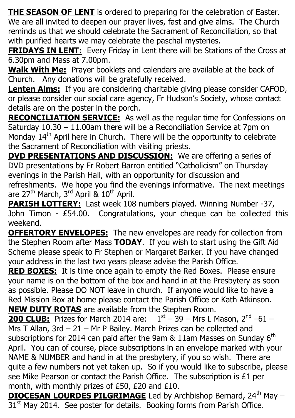**THE SEASON OF LENT** is ordered to preparing for the celebration of Easter. We are all invited to deepen our prayer lives, fast and give alms. The Church reminds us that we should celebrate the Sacrament of Reconciliation, so that with purified hearts we may celebrate the paschal mysteries.

**FRIDAYS IN LENT:** Every Friday in Lent there will be Stations of the Cross at 6.30pm and Mass at 7.00pm.

**Walk With Me:** Prayer booklets and calendars are available at the back of Church. Any donations will be gratefully received.

**Lenten Alms:** If you are considering charitable giving please consider CAFOD, or please consider our social care agency, Fr Hudson's Society, whose contact details are on the poster in the porch.

**RECONCILIATION SERVICE:** As well as the regular time for Confessions on Saturday 10.30 – 11.00am there will be a Reconciliation Service at 7pm on Monday  $14<sup>th</sup>$  April here in Church. There will be the opportunity to celebrate the Sacrament of Reconciliation with visiting priests.

**DVD PRESENTATIONS AND DISCUSSION:** We are offering a series of DVD presentations by Fr Robert Barron entitled "Catholicism" on Thursday evenings in the Parish Hall, with an opportunity for discussion and refreshments. We hope you find the evenings informative. The next meetings are  $27<sup>th</sup>$  March,  $3<sup>rd</sup>$  April &  $10<sup>th</sup>$  April.

**PARISH LOTTERY:** Last week 108 numbers played. Winning Number -37, John Timon - £54.00. Congratulations, your cheque can be collected this weekend.

**OFFERTORY ENVELOPES:** The new envelopes are ready for collection from the Stephen Room after Mass **TODAY**. If you wish to start using the Gift Aid Scheme please speak to Fr Stephen or Margaret Barker. If you have changed your address in the last two years please advise the Parish Office.

**RED BOXES:** It is time once again to empty the Red Boxes. Please ensure your name is on the bottom of the box and hand in at the Presbytery as soon as possible. Please DO NOT leave in church. If anyone would like to have a Red Mission Box at home please contact the Parish Office or Kath Atkinson. **NEW DUTY ROTAS** are available from the Stephen Room.

**200 CLUB:** Prizes for March 2014 are:  $1<sup>st</sup> - 39 - Mrs L Mason, 2<sup>nd</sup> - 61 -$ Mrs T Allan, 3rd – 21 – Mr P Bailey. March Prizes can be collected and subscriptions for 2014 can paid after the 9am  $&$  11am Masses on Sunday 6<sup>th</sup> April. You can of course, place subscriptions in an envelope marked with your NAME & NUMBER and hand in at the presbytery, if you so wish. There are quite a few numbers not yet taken up. So if you would like to subscribe, please see Mike Pearson or contact the Parish Office. The subscription is £1 per month, with monthly prizes of £50, £20 and £10.

**DIOCESAN LOURDES PILGRIMAGE** Led by Archbishop Bernard, 24<sup>th</sup> May – 31<sup>st</sup> May 2014. See poster for details. Booking forms from Parish Office.